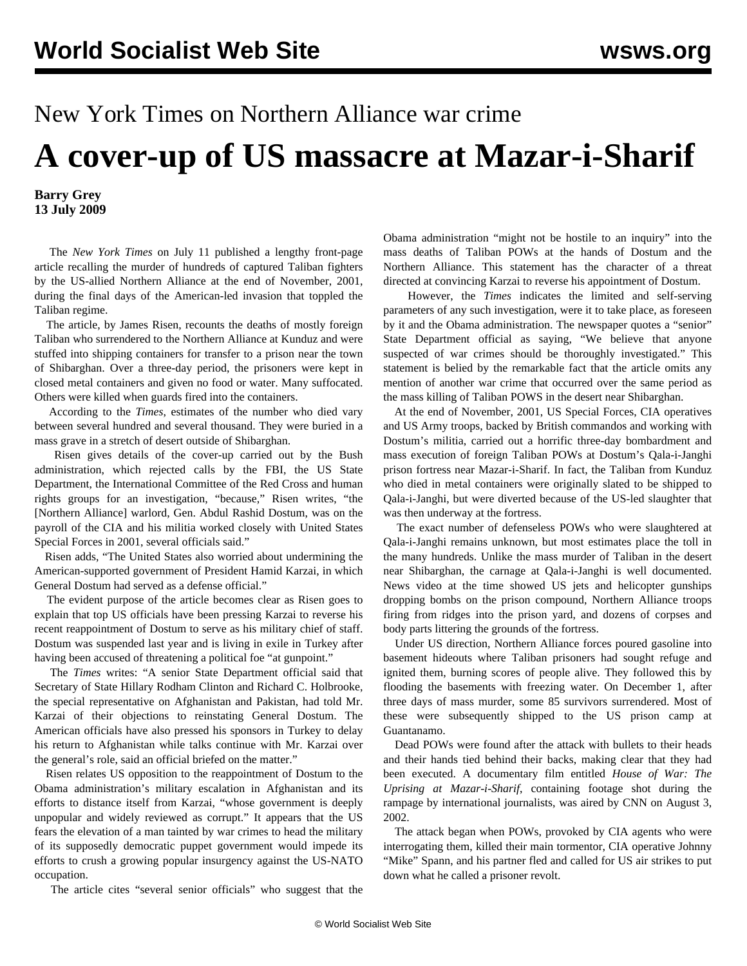## New York Times on Northern Alliance war crime

## **A cover-up of US massacre at Mazar-i-Sharif**

**Barry Grey 13 July 2009**

 The *New York Times* on July 11 published a lengthy front-page article recalling the murder of hundreds of captured Taliban fighters by the US-allied Northern Alliance at the end of November, 2001, during the final days of the American-led invasion that toppled the Taliban regime.

 The article, by James Risen, recounts the deaths of mostly foreign Taliban who surrendered to the Northern Alliance at Kunduz and were stuffed into shipping containers for transfer to a prison near the town of Shibarghan. Over a three-day period, the prisoners were kept in closed metal containers and given no food or water. Many suffocated. Others were killed when guards fired into the containers.

 According to the *Times*, estimates of the number who died vary between several hundred and several thousand. They were buried in a mass grave in a stretch of desert outside of Shibarghan.

 Risen gives details of the cover-up carried out by the Bush administration, which rejected calls by the FBI, the US State Department, the International Committee of the Red Cross and human rights groups for an investigation, "because," Risen writes, "the [Northern Alliance] warlord, Gen. Abdul Rashid Dostum, was on the payroll of the CIA and his militia worked closely with United States Special Forces in 2001, several officials said."

 Risen adds, "The United States also worried about undermining the American-supported government of President Hamid Karzai, in which General Dostum had served as a defense official."

 The evident purpose of the article becomes clear as Risen goes to explain that top US officials have been pressing Karzai to reverse his recent reappointment of Dostum to serve as his military chief of staff. Dostum was suspended last year and is living in exile in Turkey after having been accused of threatening a political foe "at gunpoint."

 The *Times* writes: "A senior State Department official said that Secretary of State Hillary Rodham Clinton and Richard C. Holbrooke, the special representative on Afghanistan and Pakistan, had told Mr. Karzai of their objections to reinstating General Dostum. The American officials have also pressed his sponsors in Turkey to delay his return to Afghanistan while talks continue with Mr. Karzai over the general's role, said an official briefed on the matter."

 Risen relates US opposition to the reappointment of Dostum to the Obama administration's military escalation in Afghanistan and its efforts to distance itself from Karzai, "whose government is deeply unpopular and widely reviewed as corrupt." It appears that the US fears the elevation of a man tainted by war crimes to head the military of its supposedly democratic puppet government would impede its efforts to crush a growing popular insurgency against the US-NATO occupation.

The article cites "several senior officials" who suggest that the

Obama administration "might not be hostile to an inquiry" into the mass deaths of Taliban POWs at the hands of Dostum and the Northern Alliance. This statement has the character of a threat directed at convincing Karzai to reverse his appointment of Dostum.

 However, the *Times* indicates the limited and self-serving parameters of any such investigation, were it to take place, as foreseen by it and the Obama administration. The newspaper quotes a "senior" State Department official as saying, "We believe that anyone suspected of war crimes should be thoroughly investigated." This statement is belied by the remarkable fact that the article omits any mention of another war crime that occurred over the same period as the mass killing of Taliban POWS in the desert near Shibarghan.

 At the end of November, 2001, US Special Forces, CIA operatives and US Army troops, backed by British commandos and working with Dostum's militia, carried out a horrific three-day bombardment and mass execution of foreign Taliban POWs at Dostum's Qala-i-Janghi prison fortress near Mazar-i-Sharif. In fact, the Taliban from Kunduz who died in metal containers were originally slated to be shipped to Qala-i-Janghi, but were diverted because of the US-led slaughter that was then underway at the fortress.

 The exact number of defenseless POWs who were slaughtered at Qala-i-Janghi remains unknown, but most estimates place the toll in the many hundreds. Unlike the mass murder of Taliban in the desert near Shibarghan, the carnage at Qala-i-Janghi is well documented. News video at the time showed US jets and helicopter gunships dropping bombs on the prison compound, Northern Alliance troops firing from ridges into the prison yard, and dozens of corpses and body parts littering the grounds of the fortress.

 Under US direction, Northern Alliance forces poured gasoline into basement hideouts where Taliban prisoners had sought refuge and ignited them, burning scores of people alive. They followed this by flooding the basements with freezing water. On December 1, after three days of mass murder, some 85 survivors surrendered. Most of these were subsequently shipped to the US prison camp at Guantanamo.

 Dead POWs were found after the attack with bullets to their heads and their hands tied behind their backs, making clear that they had been executed. A documentary film entitled *House of War: The Uprising at Mazar-i-Sharif*, containing footage shot during the rampage by international journalists, was aired by CNN on August 3, 2002.

 The attack began when POWs, provoked by CIA agents who were interrogating them, killed their main tormentor, CIA operative Johnny "Mike" Spann, and his partner fled and called for US air strikes to put down what he called a prisoner revolt.